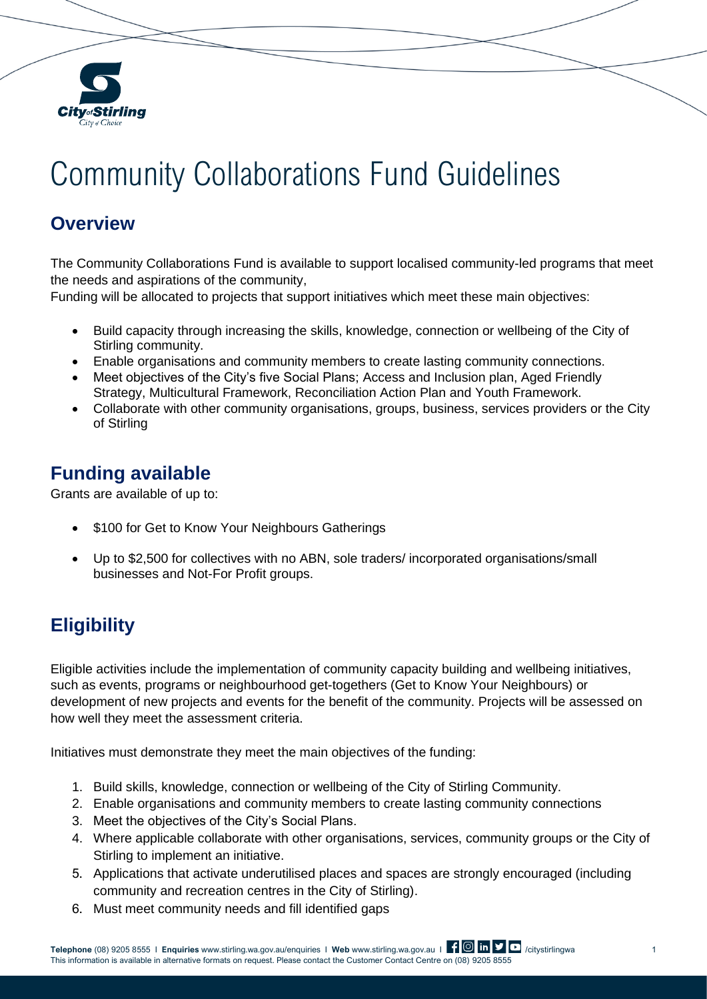

# Community Collaborations Fund Guidelines

#### **Overview**

The Community Collaborations Fund is available to support localised community-led programs that meet the needs and aspirations of the community,

Funding will be allocated to projects that support initiatives which meet these main objectives:

- Build capacity through increasing the skills, knowledge, connection or wellbeing of the City of Stirling community.
- Enable organisations and community members to create lasting community connections.
- Meet objectives of the City's five Social Plans; Access and Inclusion plan, Aged Friendly Strategy, Multicultural Framework, Reconciliation Action Plan and Youth Framework.
- Collaborate with other community organisations, groups, business, services providers or the City of Stirling

## **Funding available**

Grants are available of up to:

- \$100 for Get to Know Your Neighbours Gatherings
- Up to \$2,500 for collectives with no ABN, sole traders/ incorporated organisations/small businesses and Not-For Profit groups.

# **Eligibility**

Eligible activities include the implementation of community capacity building and wellbeing initiatives, such as events, programs or neighbourhood get-togethers (Get to Know Your Neighbours) or development of new projects and events for the benefit of the community. Projects will be assessed on how well they meet the assessment criteria.

Initiatives must demonstrate they meet the main objectives of the funding:

- 1. Build skills, knowledge, connection or wellbeing of the City of Stirling Community.
- 2. Enable organisations and community members to create lasting community connections
- 3. Meet the objectives of the City's Social Plans.
- 4. Where applicable collaborate with other organisations, services, community groups or the City of Stirling to implement an initiative.
- 5. Applications that activate underutilised places and spaces are strongly encouraged (including community and recreation centres in the City of Stirling).
- 6. Must meet community needs and fill identified gaps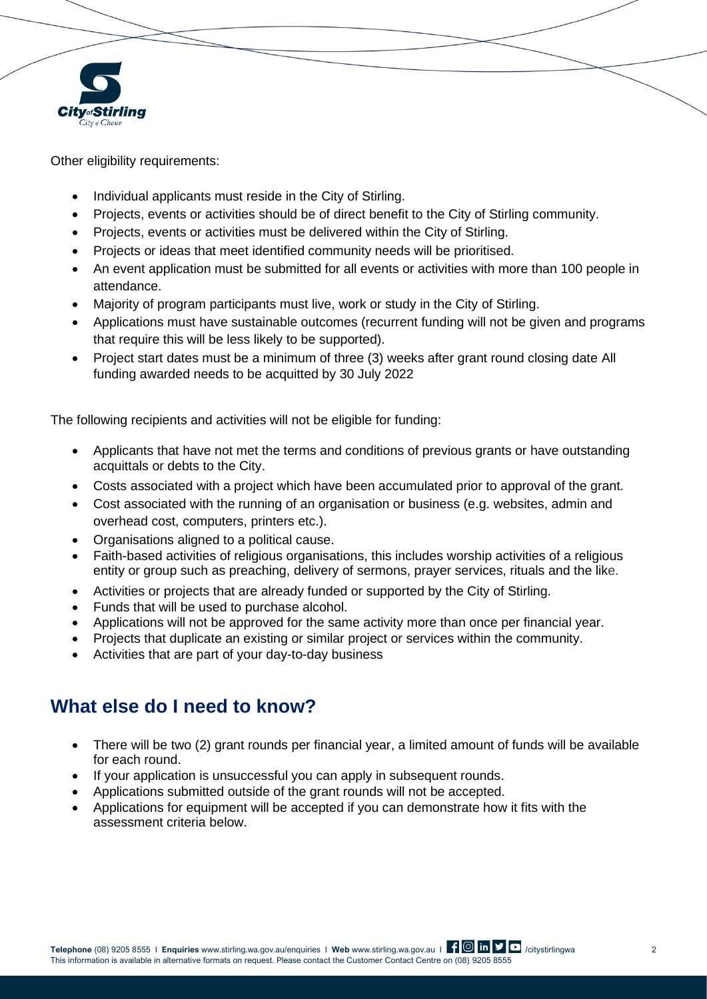

Other eligibility requirements:

- Individual applicants must reside in the City of Stirling.
- Projects, events or activities should be of direct benefit to the City of Stirling community.
- Projects, events or activities must be delivered within the City of Stirling.
- Projects or ideas that meet identified community needs will be prioritised.
- An event application must be submitted for all events or activities with more than 100 people in attendance.
- Majority of program participants must live, work or study in the City of Stirling.
- Applications must have sustainable outcomes (recurrent funding will not be given and programs that require this will be less likely to be supported).
- Project start dates must be a minimum of three (3) weeks after grant round closing date All funding awarded needs to be acquitted by 30 July 2022

The following recipients and activities will not be eligible for funding:

- Applicants that have not met the terms and conditions of previous grants or have outstanding acquittals or debts to the City.
- Costs associated with a project which have been accumulated prior to approval of the grant.
- Cost associated with the running of an organisation or business (e.g. websites, admin and overhead cost, computers, printers etc.).
- Organisations aligned to a political cause.
- Faith-based activities of religious organisations, this includes worship activities of a religious entity or group such as preaching, delivery of sermons, prayer services, rituals and the like.
- Activities or projects that are already funded or supported by the City of Stirling.
- Funds that will be used to purchase alcohol.
- Applications will not be approved for the same activity more than once per financial year.
- Projects that duplicate an existing or similar project or services within the community.
- Activities that are part of your day-to-day business

## **What else do I need to know?**

- There will be two (2) grant rounds per financial year, a limited amount of funds will be available for each round.
- If your application is unsuccessful you can apply in subsequent rounds.
- Applications submitted outside of the grant rounds will not be accepted.
- Applications for equipment will be accepted if you can demonstrate how it fits with the assessment criteria below.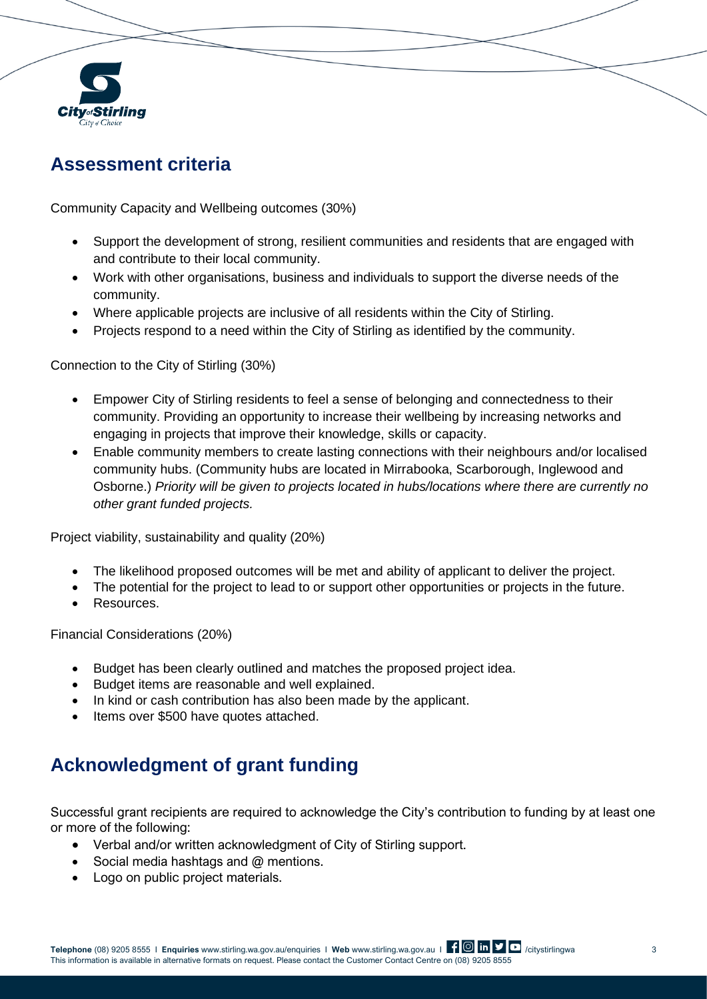

#### **Assessment criteria**

Community Capacity and Wellbeing outcomes (30%)

- Support the development of strong, resilient communities and residents that are engaged with and contribute to their local community.
- Work with other organisations, business and individuals to support the diverse needs of the community.
- Where applicable projects are inclusive of all residents within the City of Stirling.
- Projects respond to a need within the City of Stirling as identified by the community.

Connection to the City of Stirling (30%)

- Empower City of Stirling residents to feel a sense of belonging and connectedness to their community. Providing an opportunity to increase their wellbeing by increasing networks and engaging in projects that improve their knowledge, skills or capacity.
- Enable community members to create lasting connections with their neighbours and/or localised community hubs. (Community hubs are located in Mirrabooka, Scarborough, Inglewood and Osborne.) *Priority will be given to projects located in hubs/locations where there are currently no other grant funded projects.*

Project viability, sustainability and quality (20%)

- The likelihood proposed outcomes will be met and ability of applicant to deliver the project.
- The potential for the project to lead to or support other opportunities or projects in the future.
- Resources.

Financial Considerations (20%)

- Budget has been clearly outlined and matches the proposed project idea.
- Budget items are reasonable and well explained.
- In kind or cash contribution has also been made by the applicant.
- Items over \$500 have quotes attached.

## **Acknowledgment of grant funding**

Successful grant recipients are required to acknowledge the City's contribution to funding by at least one or more of the following:

- Verbal and/or written acknowledgment of City of Stirling support.
- Social media hashtags and @ mentions.
- Logo on public project materials.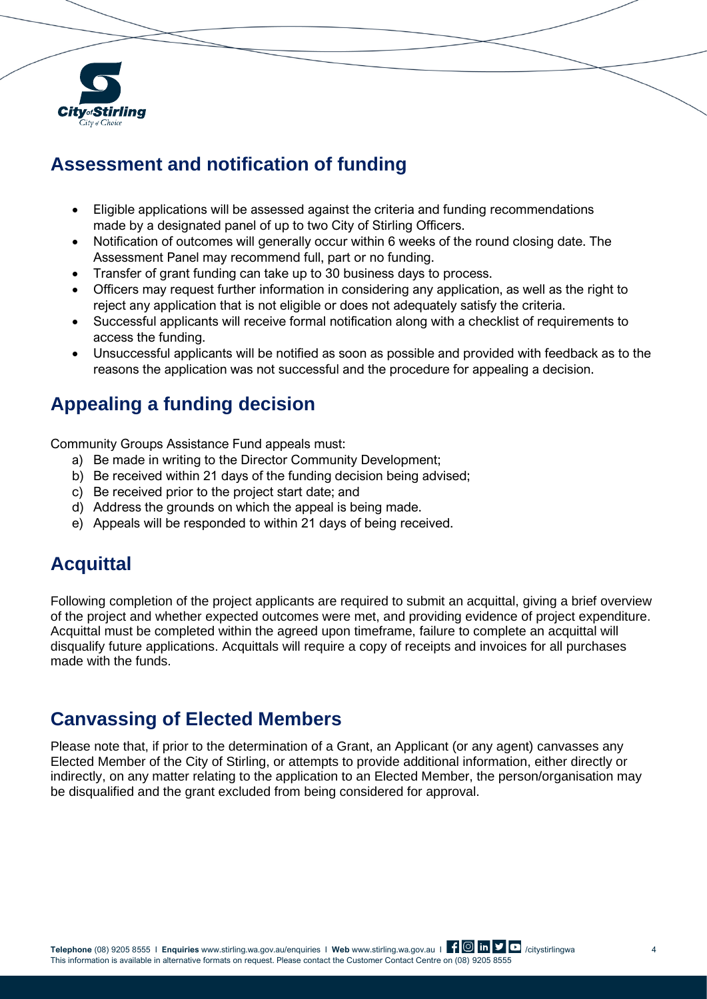

## **Assessment and notification of funding**

- Eligible applications will be assessed against the criteria and funding recommendations made by a designated panel of up to two City of Stirling Officers.
- Notification of outcomes will generally occur within 6 weeks of the round closing date. The Assessment Panel may recommend full, part or no funding.
- Transfer of grant funding can take up to 30 business days to process.
- Officers may request further information in considering any application, as well as the right to reject any application that is not eligible or does not adequately satisfy the criteria.
- Successful applicants will receive formal notification along with a checklist of requirements to access the funding.
- Unsuccessful applicants will be notified as soon as possible and provided with feedback as to the reasons the application was not successful and the procedure for appealing a decision.

## **Appealing a funding decision**

Community Groups Assistance Fund appeals must:

- a) Be made in writing to the Director Community Development;
- b) Be received within 21 days of the funding decision being advised;
- c) Be received prior to the project start date; and
- d) Address the grounds on which the appeal is being made.
- e) Appeals will be responded to within 21 days of being received.

## **Acquittal**

Following completion of the project applicants are required to submit an acquittal, giving a brief overview of the project and whether expected outcomes were met, and providing evidence of project expenditure. Acquittal must be completed within the agreed upon timeframe, failure to complete an acquittal will disqualify future applications. Acquittals will require a copy of receipts and invoices for all purchases made with the funds.

#### **Canvassing of Elected Members**

Please note that, if prior to the determination of a Grant, an Applicant (or any agent) canvasses any Elected Member of the City of Stirling, or attempts to provide additional information, either directly or indirectly, on any matter relating to the application to an Elected Member, the person/organisation may be disqualified and the grant excluded from being considered for approval.